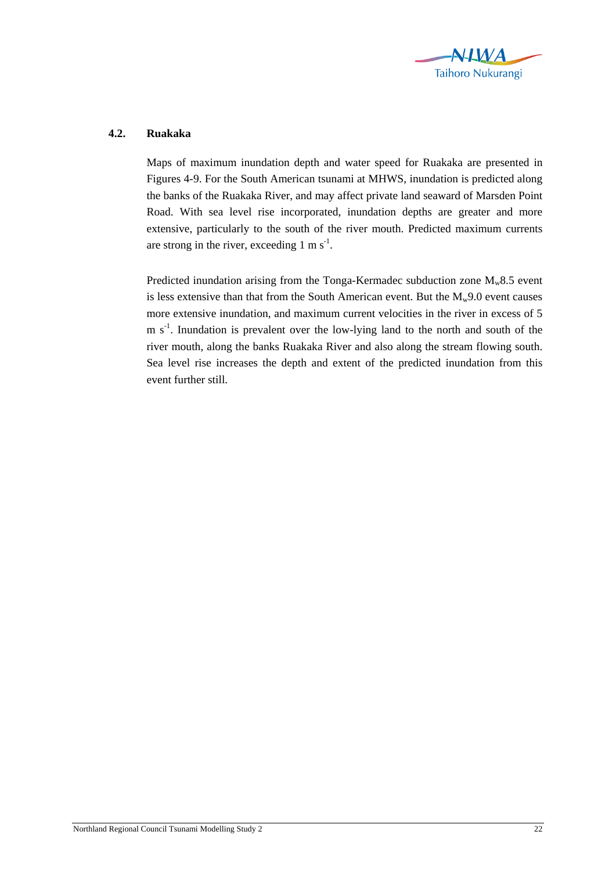

## **4.2. Ruakaka**

Maps of maximum inundation depth and water speed for Ruakaka are presented in Figures 4-9. For the South American tsunami at MHWS, inundation is predicted along the banks of the Ruakaka River, and may affect private land seaward of Marsden Point Road. With sea level rise incorporated, inundation depths are greater and more extensive, particularly to the south of the river mouth. Predicted maximum currents are strong in the river, exceeding  $1 \text{ m s}^{-1}$ .

Predicted inundation arising from the Tonga-Kermadec subduction zone  $M_w 8.5$  event is less extensive than that from the South American event. But the  $M_w9.0$  event causes more extensive inundation, and maximum current velocities in the river in excess of 5  $m s<sup>-1</sup>$ . Inundation is prevalent over the low-lying land to the north and south of the river mouth, along the banks Ruakaka River and also along the stream flowing south. Sea level rise increases the depth and extent of the predicted inundation from this event further still.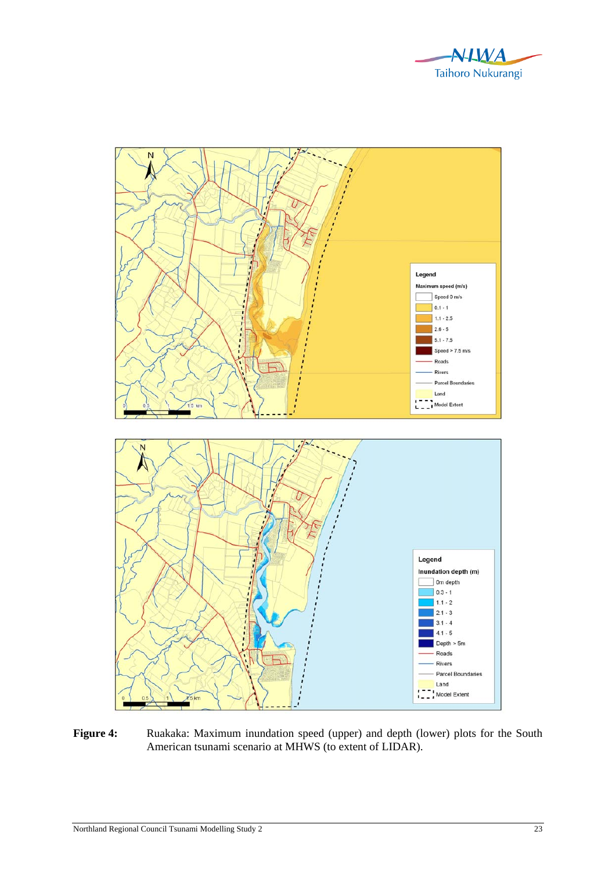



**Figure 4:** Ruakaka: Maximum inundation speed (upper) and depth (lower) plots for the South American tsunami scenario at MHWS (to extent of LIDAR).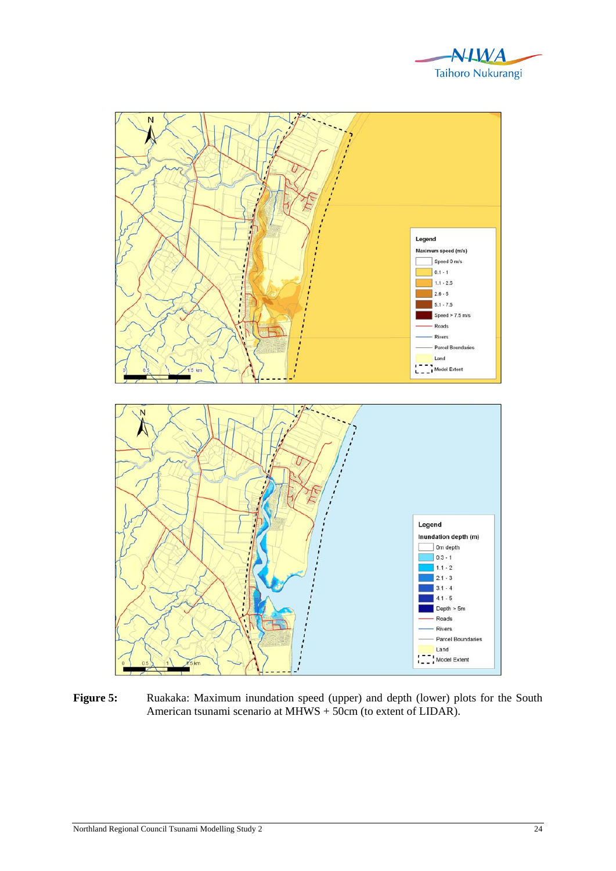



Figure 5: Ruakaka: Maximum inundation speed (upper) and depth (lower) plots for the South American tsunami scenario at MHWS + 50cm (to extent of LIDAR).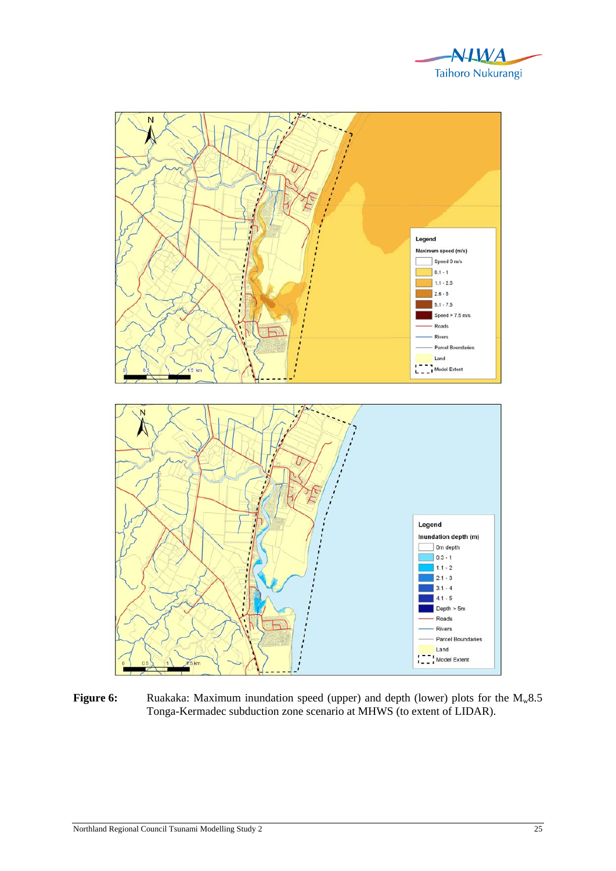



**Figure 6:** Ruakaka: Maximum inundation speed (upper) and depth (lower) plots for the M<sub>w</sub>8.5 Tonga-Kermadec subduction zone scenario at MHWS (to extent of LIDAR).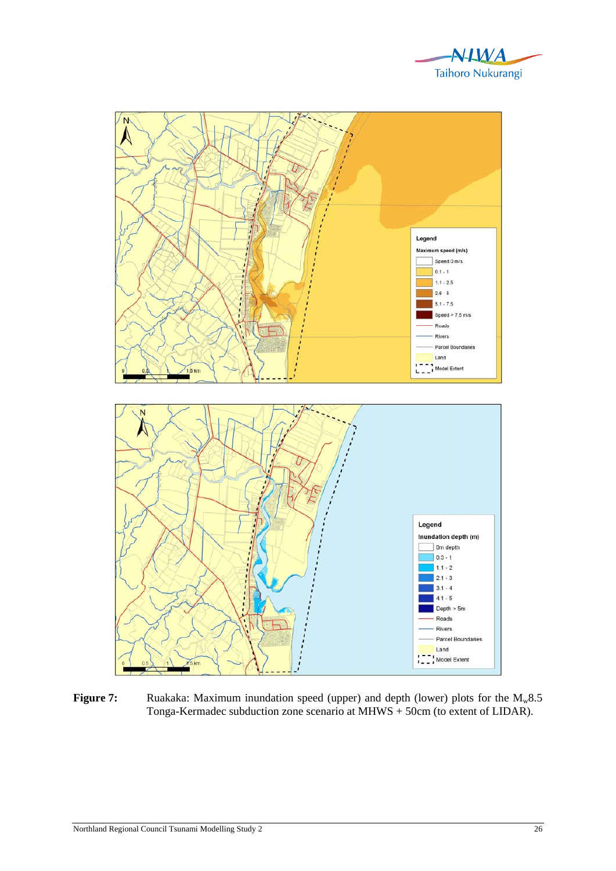



**Figure 7:** Ruakaka: Maximum inundation speed (upper) and depth (lower) plots for the M<sub>w</sub>8.5 Tonga-Kermadec subduction zone scenario at MHWS + 50cm (to extent of LIDAR).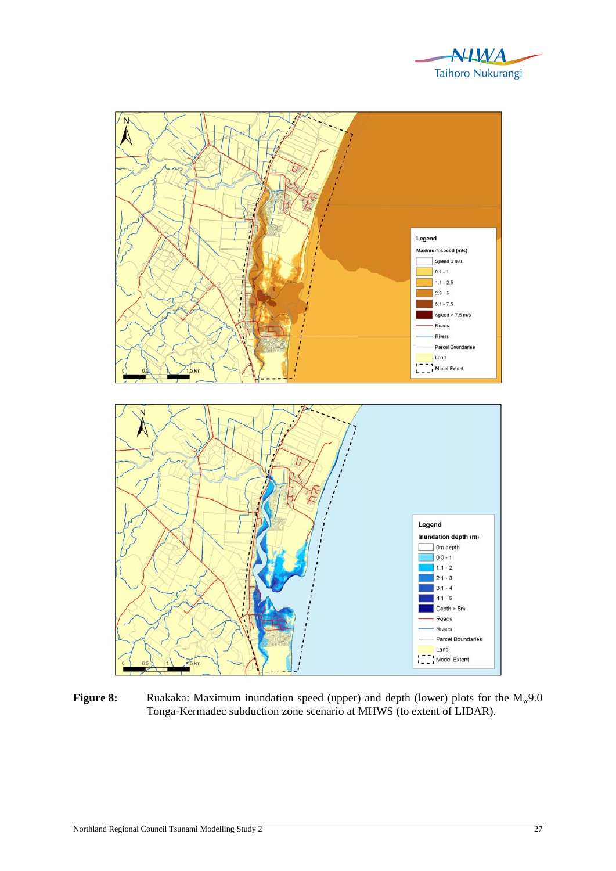



**Figure 8:** Ruakaka: Maximum inundation speed (upper) and depth (lower) plots for the M<sub>w</sub>9.0 Tonga-Kermadec subduction zone scenario at MHWS (to extent of LIDAR).